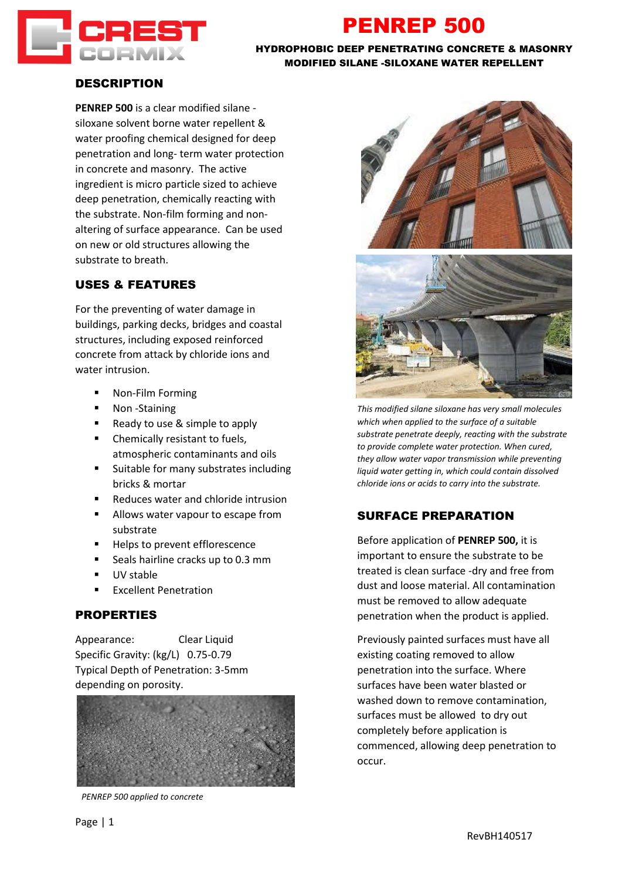

# PENREP 500

#### HYDROPHOBIC DEEP PENETRATING CONCRETE & MASONRY MODIFIED SILANE -SILOXANE WATER REPELLENT

### DESCRIPTION

**PENREP 500** is a clear modified silane siloxane solvent borne water repellent & water proofing chemical designed for deep penetration and long- term water protection in concrete and masonry. The active ingredient is micro particle sized to achieve deep penetration, chemically reacting with the substrate. Non-film forming and nonaltering of surface appearance. Can be used on new or old structures allowing the substrate to breath.

# USES & FEATURES

For the preventing of water damage in buildings, parking decks, bridges and coastal structures, including exposed reinforced concrete from attack by chloride ions and water intrusion.

- Non-Film Forming
- Non-Staining
- Ready to use & simple to apply
- Chemically resistant to fuels, atmospheric contaminants and oils
- Suitable for many substrates including bricks & mortar
- Reduces water and chloride intrusion
- Allows water vapour to escape from substrate
- Helps to prevent efflorescence
- Seals hairline cracks up to 0.3 mm
- UV stable
- **Excellent Penetration**

### **PROPERTIES**

Appearance: Clear Liquid Specific Gravity: (kg/L) 0.75-0.79 Typical Depth of Penetration: 3-5mm depending on porosity.



*PENREP 500 applied to concrete*





*This modified silane siloxane has very small molecules which when applied to the surface of a suitable substrate penetrate deeply, reacting with the substrate to provide complete water protection. When cured, they allow water vapor transmission while preventing liquid water getting in, which could contain dissolved chloride ions or acids to carry into the substrate.*

# SURFACE PREPARATION

Before application of **PENREP 500,** it is important to ensure the substrate to be treated is clean surface -dry and free from dust and loose material. All contamination must be removed to allow adequate penetration when the product is applied.

Previously painted surfaces must have all existing coating removed to allow penetration into the surface. Where surfaces have been water blasted or washed down to remove contamination, surfaces must be allowed to dry out completely before application is commenced, allowing deep penetration to occur.